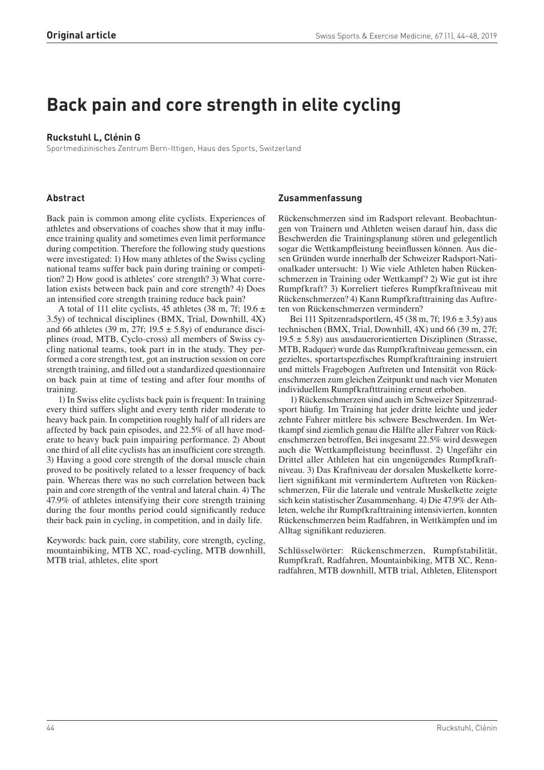# **Back pain and core strength in elite cycling**

# **Ruckstuhl L, Clénin G**

Sportmedizinisches Zentrum Bern-Ittigen, Haus des Sports, Switzerland

# **Abstract**

Back pain is common among elite cyclists. Experiences of athletes and observations of coaches show that it may influence training quality and sometimes even limit performance during competition. Therefore the following study questions were investigated: 1) How many athletes of the Swiss cycling national teams suffer back pain during training or competition? 2) How good is athletes' core strength? 3) What correlation exists between back pain and core strength? 4) Does an intensified core strength training reduce back pain?

A total of 111 elite cyclists, 45 athletes (38 m, 7f; 19.6  $\pm$ 3.5y) of technical disciplines (BMX, Trial, Downhill, 4X) and 66 athletes (39 m, 27f;  $19.5 \pm 5.8$ y) of endurance disciplines (road, MTB, Cyclo-cross) all members of Swiss cycling national teams, took part in in the study. They performed a core strength test, got an instruction session on core strength training, and filled out a standardized questionnaire on back pain at time of testing and after four months of training.

1) In Swiss elite cyclists back pain is frequent: In training every third suffers slight and every tenth rider moderate to heavy back pain. In competition roughly half of all riders are affected by back pain episodes, and 22.5% of all have moderate to heavy back pain impairing performance. 2) About one third of all elite cyclists has an insufficient core strength. 3) Having a good core strength of the dorsal muscle chain proved to be positively related to a lesser frequency of back pain. Whereas there was no such correlation between back pain and core strength of the ventral and lateral chain. 4) The 47.9% of athletes intensifying their core strength training during the four months period could significantly reduce their back pain in cycling, in competition, and in daily life.

Keywords: back pain, core stability, core strength, cycling, mountainbiking, MTB XC, road-cycling, MTB downhill, MTB trial, athletes, elite sport

# **Zusammenfassung**

Rückenschmerzen sind im Radsport relevant. Beobachtungen von Trainern und Athleten weisen darauf hin, dass die Beschwerden die Trainingsplanung stören und gelegentlich sogar die Wettkampfleistung beeinflussen können. Aus diesen Gründen wurde innerhalb der Schweizer Radsport-Nationalkader untersucht: 1) Wie viele Athleten haben Rückenschmerzen in Training oder Wettkampf? 2) Wie gut ist ihre Rumpfkraft? 3) Korreliert tieferes Rumpfkraftniveau mit Rückenschmerzen? 4) Kann Rumpfkrafttraining das Auftreten von Rückenschmerzen vermindern?

Bei 111 Spitzenradsportlern, 45 (38 m, 7f;  $19.6 \pm 3.5$ y) aus technischen (BMX, Trial, Downhill, 4X) und 66 (39 m, 27f;  $19.5 \pm 5.8$ y) aus ausdauerorientierten Disziplinen (Strasse, MTB, Radquer) wurde das Rumpfkraftniveau gemessen, ein gezieltes, sportartspezfisches Rumpfkrafttraining instruiert und mittels Fragebogen Auftreten und Intensität von Rückenschmerzen zum gleichen Zeitpunkt und nach vier Monaten individuellem Rumpfkraftttraining erneut erhoben.

1) Rückenschmerzen sind auch im Schweizer Spitzenradsport häufig. Im Training hat jeder dritte leichte und jeder zehnte Fahrer mittlere bis schwere Beschwerden. Im Wettkampf sind ziemlich genau die Hälfte aller Fahrer von Rückenschmerzen betroffen, Bei insgesamt 22.5% wird deswegen auch die Wettkampfleistung beeinflusst. 2) Ungefähr ein Drittel aller Athleten hat ein ungenügendes Rumpfkraftniveau. 3) Das Kraftniveau der dorsalen Muskelkette korreliert signifikant mit vermindertem Auftreten von Rückenschmerzen, Für die laterale und ventrale Muskelkette zeigte sich kein statistischer Zusammenhang. 4) Die 47.9% der Athleten, welche ihr Rumpfkrafttraining intensivierten, konnten Rückenschmerzen beim Radfahren, in Wettkämpfen und im Alltag signifikant reduzieren.

Schlüsselwörter: Rückenschmerzen, Rumpfstabilität, Rumpfkraft, Radfahren, Mountainbiking, MTB XC, Rennradfahren, MTB downhill, MTB trial, Athleten, Elitensport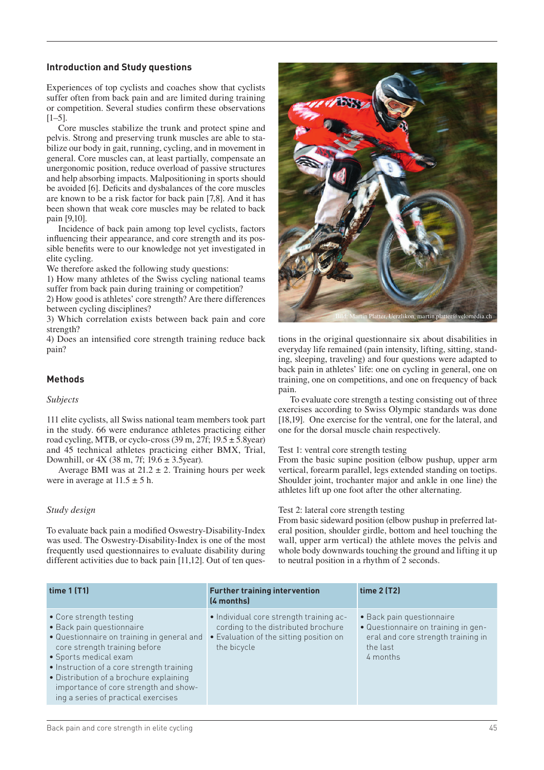#### **Introduction and Study questions**

Experiences of top cyclists and coaches show that cyclists suffer often from back pain and are limited during training or competition. Several studies confirm these observations  $[1-5]$ .

Core muscles stabilize the trunk and protect spine and pelvis. Strong and preserving trunk muscles are able to stabilize our body in gait, running, cycling, and in movement in general. Core muscles can, at least partially, compensate an unergonomic position, reduce overload of passive structures and help absorbing impacts. Malpositioning in sports should be avoided [6]. Deficits and dysbalances of the core muscles are known to be a risk factor for back pain [7,8]. And it has been shown that weak core muscles may be related to back pain [9,10].

Incidence of back pain among top level cyclists, factors influencing their appearance, and core strength and its possible benefits were to our knowledge not yet investigated in elite cycling.

We therefore asked the following study questions:

1) How many athletes of the Swiss cycling national teams suffer from back pain during training or competition?

2) How good is athletes' core strength? Are there differences between cycling disciplines?

3) Which correlation exists between back pain and core strength?

4) Does an intensified core strength training reduce back pain?

# **Methods**

#### *Subjects*

111 elite cyclists, all Swiss national team members took part in the study. 66 were endurance athletes practicing either road cycling, MTB, or cyclo-cross  $(39 \text{ m}, 27 \text{ f}; 19.5 \pm 5.8 \text{ year})$ and 45 technical athletes practicing either BMX, Trial, Downhill, or 4X (38 m, 7f; 19.6 ± 3.5year).

Average BMI was at  $21.2 \pm 2$ . Training hours per week were in average at  $11.5 \pm 5$  h.

#### *Study design*

To evaluate back pain a modified Oswestry-Disability-Index was used. The Oswestry-Disability-Index is one of the most frequently used questionnaires to evaluate disability during different activities due to back pain [11,12]. Out of ten ques-



tions in the original questionnaire six about disabilities in everyday life remained (pain intensity, lifting, sitting, standing, sleeping, traveling) and four questions were adapted to back pain in athletes' life: one on cycling in general, one on training, one on competitions, and one on frequency of back pain.

To evaluate core strength a testing consisting out of three exercises according to Swiss Olympic standards was done [18,19]. One exercise for the ventral, one for the lateral, and one for the dorsal muscle chain respectively.

#### Test 1: ventral core strength testing

From the basic supine position (elbow pushup, upper arm vertical, forearm parallel, legs extended standing on toetips. Shoulder joint, trochanter major and ankle in one line) the athletes lift up one foot after the other alternating.

#### Test 2: lateral core strength testing

From basic sideward position (elbow pushup in preferred lateral position, shoulder girdle, bottom and heel touching the wall, upper arm vertical) the athlete moves the pelvis and whole body downwards touching the ground and lifting it up to neutral position in a rhythm of 2 seconds.

| time $1$ (T1)                                                                                                                                                                                                                                                                                                                        | <b>Further training intervention</b><br>(4 months)                                                                                       | time $2$ (T2)                                                                                                                  |  |  |
|--------------------------------------------------------------------------------------------------------------------------------------------------------------------------------------------------------------------------------------------------------------------------------------------------------------------------------------|------------------------------------------------------------------------------------------------------------------------------------------|--------------------------------------------------------------------------------------------------------------------------------|--|--|
| • Core strength testing<br>· Back pain questionnaire<br>· Questionnaire on training in general and<br>core strength training before<br>• Sports medical exam<br>• Instruction of a core strength training<br>· Distribution of a brochure explaining<br>importance of core strength and show-<br>ing a series of practical exercises | · Individual core strength training ac-<br>cording to the distributed brochure<br>• Evaluation of the sitting position on<br>the bicycle | • Back pain questionnaire<br>• Questionnaire on training in gen-<br>eral and core strength training in<br>the last<br>4 months |  |  |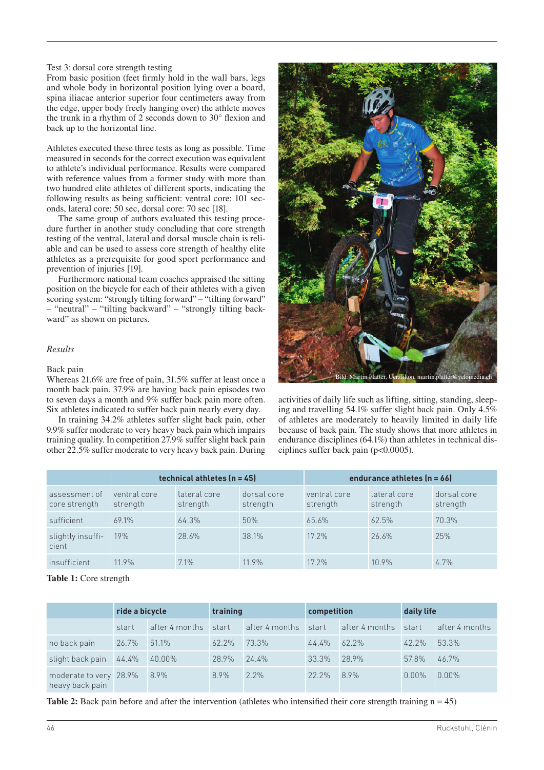#### Test 3: dorsal core strength testing

From basic position (feet firmly hold in the wall bars, legs and whole body in horizontal position lying over a board, spina iliacae anterior superior four centimeters away from the edge, upper body freely hanging over) the athlete moves the trunk in a rhythm of 2 seconds down to 30° flexion and back up to the horizontal line.

Athletes executed these three tests as long as possible. Time measured in seconds for the correct execution was equivalent to athlete's individual performance. Results were compared with reference values from a former study with more than two hundred elite athletes of different sports, indicating the following results as being sufficient: ventral core: 101 seconds, lateral core: 50 sec, dorsal core: 70 sec [18].

The same group of authors evaluated this testing procedure further in another study concluding that core strength testing of the ventral, lateral and dorsal muscle chain is reliable and can be used to assess core strength of healthy elite athletes as a prerequisite for good sport performance and prevention of injuries [19].

Furthermore national team coaches appraised the sitting position on the bicycle for each of their athletes with a given scoring system: "strongly tilting forward" – "tilting forward" – "neutral" – "tilting backward" – "strongly tilting backward" as shown on pictures.

#### *Results*

#### Back pain

Whereas 21.6% are free of pain, 31.5% suffer at least once a month back pain. 37.9% are having back pain episodes two to seven days a month and 9% suffer back pain more often. Six athletes indicated to suffer back pain nearly every day.

In training 34.2% athletes suffer slight back pain, other 9.9% suffer moderate to very heavy back pain which impairs training quality. In competition 27.9% suffer slight back pain other 22.5% suffer moderate to very heavy back pain. During



activities of daily life such as lifting, sitting, standing, sleeping and travelling 54.1% suffer slight back pain. Only 4.5% of athletes are moderately to heavily limited in daily life because of back pain. The study shows that more athletes in endurance disciplines (64.1%) than athletes in technical disciplines suffer back pain (p<0.0005).

|                                | technical athletes (n = 45) |                          |                         | endurance athletes (n = 66) |                          |                         |
|--------------------------------|-----------------------------|--------------------------|-------------------------|-----------------------------|--------------------------|-------------------------|
| assessment of<br>core strength | ventral core<br>strength    | lateral core<br>strength | dorsal core<br>strength | ventral core<br>strength    | lateral core<br>strength | dorsal core<br>strength |
| sufficient                     | 69.1%                       | 64.3%                    | 50%                     | 65.6%                       | 62.5%                    | 70.3%                   |
| slightly insuffi-<br>cient     | 19%                         | 28.6%                    | 38.1%                   | $17.2\%$                    | 26.6%                    | 25%                     |
| insufficient                   | $11.9\%$                    | $7.1\%$                  | 11.9%                   | $17.2\%$                    | $10.9\%$                 | $4.7\%$                 |

**Table 1:** Core strength

|                                           | ride a bicycle |                | training |                | competition |                | daily life |                |
|-------------------------------------------|----------------|----------------|----------|----------------|-------------|----------------|------------|----------------|
|                                           | start          | after 4 months | start    | after 4 months | start       | after 4 months | start      | after 4 months |
| no back pain                              | 26.7%          | 51.1%          | $62.2\%$ | 73.3%          | 44.4%       | $62.2\%$       | $42.2\%$   | 53.3%          |
| slight back pain 44.4%                    |                | 40.00%         | 28.9%    | 24.4%          | 33.3%       | 28.9%          | 57.8%      | 46.7%          |
| moderate to very 28.9%<br>heavy back pain |                | 8.9%           | 8.9%     | $2.2\%$        | $22.2\%$    | 8.9%           | $0.00\%$   | $0.00\%$       |

**Table 2:** Back pain before and after the intervention (athletes who intensified their core strength training  $n = 45$ )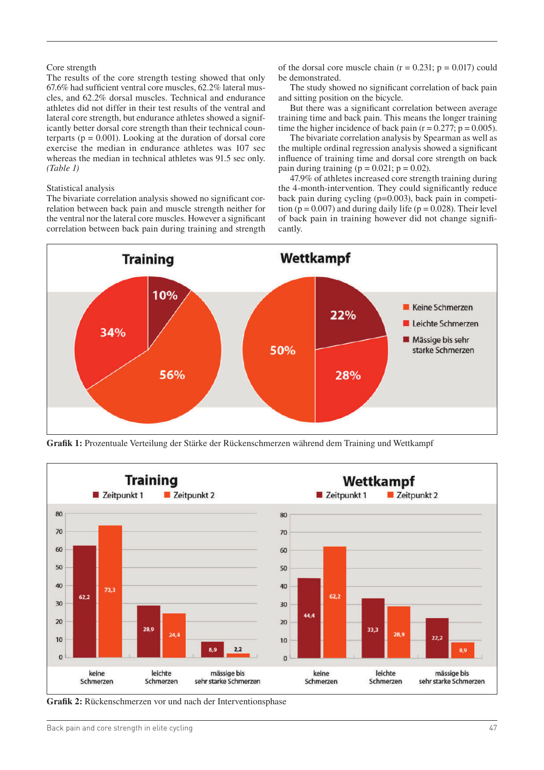#### Core strength

The results of the core strength testing showed that only 67.6% had sufficient ventral core muscles, 62.2% lateral muscles, and 62.2% dorsal muscles. Technical and endurance athletes did not differ in their test results of the ventral and lateral core strength, but endurance athletes showed a significantly better dorsal core strength than their technical counterparts ( $p = 0.001$ ). Looking at the duration of dorsal core exercise the median in endurance athletes was 107 sec whereas the median in technical athletes was 91.5 sec only. *(Table 1)*

#### Statistical analysis

The bivariate correlation analysis showed no significant correlation between back pain and muscle strength neither for the ventral nor the lateral core muscles. However a significant correlation between back pain during training and strength of the dorsal core muscle chain ( $r = 0.231$ ;  $p = 0.017$ ) could be demonstrated.

The study showed no significant correlation of back pain and sitting position on the bicycle.

But there was a significant correlation between average training time and back pain. This means the longer training time the higher incidence of back pain  $(r = 0.277; p = 0.005)$ .

The bivariate correlation analysis by Spearman as well as the multiple ordinal regression analysis showed a significant influence of training time and dorsal core strength on back pain during training ( $p = 0.021$ ;  $p = 0.02$ ).

47.9% of athletes increased core strength training during the 4-month-intervention. They could significantly reduce back pain during cycling (p=0.003), back pain in competition  $(p = 0.007)$  and during daily life  $(p = 0.028)$ . Their level of back pain in training however did not change significantly.



**Grafik 1:** Prozentuale Verteilung der Stärke der Rückenschmerzen während dem Training und Wettkampf



**Grafik 2:** Rückenschmerzen vor und nach der Interventionsphase